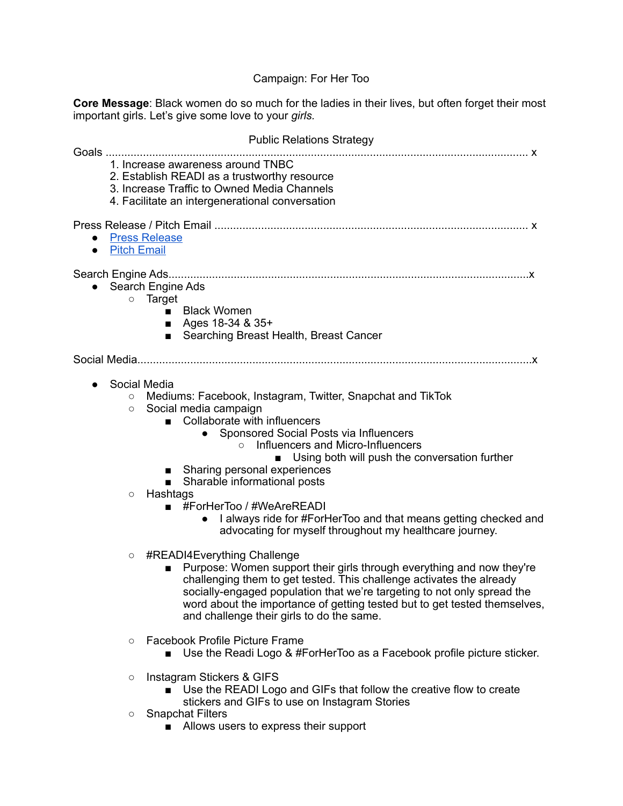## Campaign: For Her Too

**Core Message**: Black women do so much for the ladies in their lives, but often forget their most important girls. Let's give some love to your *girls.*

|                        | <b>Public Relations Strategy</b><br>1. Increase awareness around TNBC<br>2. Establish READI as a trustworthy resource<br>3. Increase Traffic to Owned Media Channels<br>4. Facilitate an intergenerational conversation |                                                                                                                                                                                                                                                                                                                                                                                                                                                                                                                                                                         |  |
|------------------------|-------------------------------------------------------------------------------------------------------------------------------------------------------------------------------------------------------------------------|-------------------------------------------------------------------------------------------------------------------------------------------------------------------------------------------------------------------------------------------------------------------------------------------------------------------------------------------------------------------------------------------------------------------------------------------------------------------------------------------------------------------------------------------------------------------------|--|
|                        |                                                                                                                                                                                                                         |                                                                                                                                                                                                                                                                                                                                                                                                                                                                                                                                                                         |  |
| $\bullet$<br>$\bullet$ | <b>Press Release</b><br><b>Pitch Email</b>                                                                                                                                                                              |                                                                                                                                                                                                                                                                                                                                                                                                                                                                                                                                                                         |  |
|                        | $\circ$                                                                                                                                                                                                                 | Search Engine Ads<br>Target<br><b>Black Women</b><br>$\mathbf{r}$<br>Ages 18-34 & 35+<br>٠<br>Searching Breast Health, Breast Cancer<br>■                                                                                                                                                                                                                                                                                                                                                                                                                               |  |
|                        |                                                                                                                                                                                                                         |                                                                                                                                                                                                                                                                                                                                                                                                                                                                                                                                                                         |  |
|                        | Social Media<br>$\circ$<br>$\circ$<br>$\circ$                                                                                                                                                                           | Mediums: Facebook, Instagram, Twitter, Snapchat and TikTok<br>Social media campaign<br>Collaborate with influencers<br>$\blacksquare$<br>• Sponsored Social Posts via Influencers<br>Influencers and Micro-Influencers<br>$\circ$<br>Using both will push the conversation further<br>Sharing personal experiences<br>Sharable informational posts<br>$\blacksquare$<br>Hashtags<br>#ForHerToo / #WeAreREADI<br>$\mathbf{r}$<br>I always ride for #ForHerToo and that means getting checked and<br>$\bullet$<br>advocating for myself throughout my healthcare journey. |  |
|                        | $\circ$                                                                                                                                                                                                                 | #READI4Everything Challenge<br>Purpose: Women support their girls through everything and now they're<br>■<br>challenging them to get tested. This challenge activates the already<br>socially-engaged population that we're targeting to not only spread the<br>word about the importance of getting tested but to get tested themselves,<br>and challenge their girls to do the same.                                                                                                                                                                                  |  |
|                        | $\circ$                                                                                                                                                                                                                 | <b>Facebook Profile Picture Frame</b><br>Use the Readi Logo & #ForHerToo as a Facebook profile picture sticker.                                                                                                                                                                                                                                                                                                                                                                                                                                                         |  |
|                        | $\circ$                                                                                                                                                                                                                 | Instagram Stickers & GIFS<br>Use the READI Logo and GIFs that follow the creative flow to create                                                                                                                                                                                                                                                                                                                                                                                                                                                                        |  |
|                        | $\circ$                                                                                                                                                                                                                 | stickers and GIFs to use on Instagram Stories<br><b>Snapchat Filters</b><br>■ Allows users to express their support                                                                                                                                                                                                                                                                                                                                                                                                                                                     |  |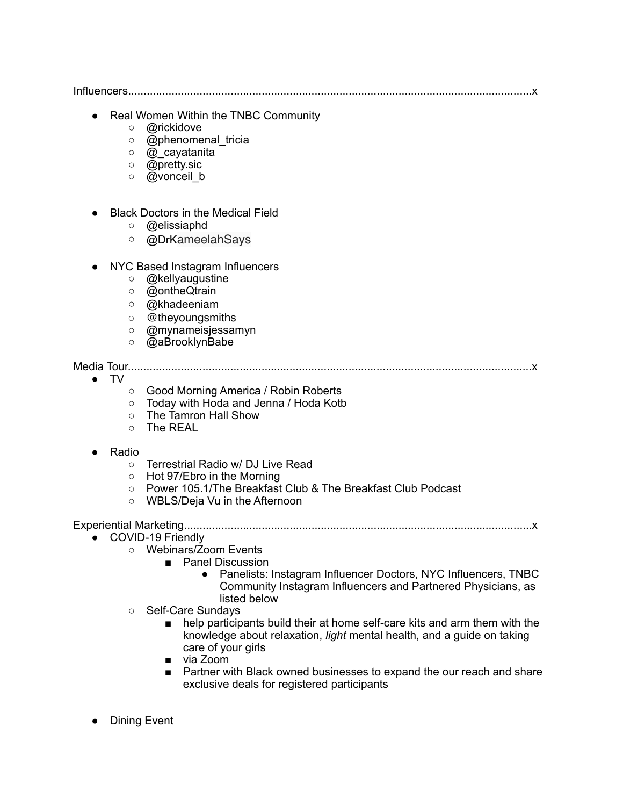Influencers..................................................................................................................................x

- Real Women Within the TNBC Community
	- o **@rickidove**
	- o @phenomenal\_tricia
	- o @ cavatanita
	- @pretty.sic
	- o @vonceil b
- **Black Doctors in the Medical Field** 
	- @elissiaphd
	- @DrKameelahSays
- NYC Based Instagram Influencers
	- @kellyaugustine
	- @ontheQtrain
	- @khadeeniam
	- @theyoungsmiths
	- @mynameisjessamyn
	- @aBrooklynBabe

Media Tour..................................................................................................................................x

 $\bullet$  TV

- Good Morning America / Robin Roberts
- Today with Hoda and Jenna / Hoda Kotb
- The Tamron Hall Show
- The REAL
- Radio
	- Terrestrial Radio w/ DJ Live Read
	- Hot 97/Ebro in the Morning
	- Power 105.1/The Breakfast Club & The Breakfast Club Podcast
	- WBLS/Deia Vu in the Afternoon

Experiential Marketing................................................................................................................x

- COVID-19 Friendly
	- Webinars/Zoom Events
		- Panel Discussion
			- Panelists: Instagram Influencer Doctors, NYC Influencers, TNBC Community Instagram Influencers and Partnered Physicians, as listed below
		- Self-Care Sundays
			- help participants build their at home self-care kits and arm them with the knowledge about relaxation, *light* mental health, and a guide on taking care of your girls
			- via Zoom
			- Partner with Black owned businesses to expand the our reach and share exclusive deals for registered participants
- Dining Event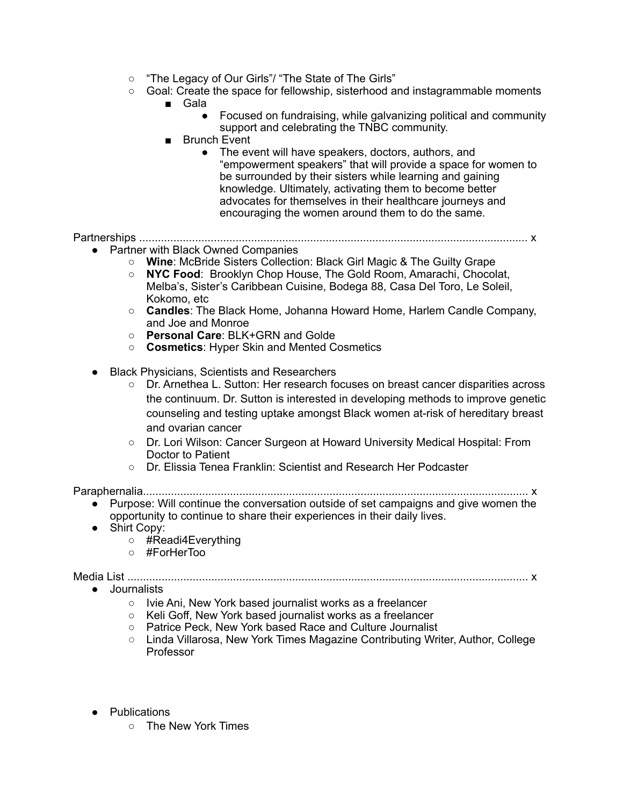- "The Legacy of Our Girls"/ "The State of The Girls"
- Goal: Create the space for fellowship, sisterhood and instagrammable moments
	- Gala
		- Focused on fundraising, while galvanizing political and community support and celebrating the TNBC community.
	- Brunch Event
		- The event will have speakers, doctors, authors, and "empowerment speakers" that will provide a space for women to be surrounded by their sisters while learning and gaining knowledge. Ultimately, activating them to become better advocates for themselves in their healthcare journeys and encouraging the women around them to do the same.

Partnerships ............................................................................................................................. x

- Partner with Black Owned Companies
	- **Wine**: McBride Sisters Collection: Black Girl Magic & The Guilty Grape
	- **NYC Food**: Brooklyn Chop House, The Gold Room, Amarachi, Chocolat, Melba's, Sister's Caribbean Cuisine, Bodega 88, Casa Del Toro, Le Soleil, Kokomo, etc
	- **Candles**: The Black Home, Johanna Howard Home, Harlem Candle Company, and Joe and Monroe
	- **Personal Care**: BLK+GRN and Golde
	- **○ Cosmetics**: Hyper Skin and Mented Cosmetics
- Black Physicians, Scientists and Researchers
	- Dr. Arnethea L. Sutton: Her research focuses on breast cancer disparities across the continuum. Dr. Sutton is interested in developing methods to improve genetic counseling and testing uptake amongst Black women at-risk of hereditary breast and ovarian cancer
	- Dr. Lori Wilson: Cancer Surgeon at Howard University Medical Hospital: From Doctor to Patient
	- Dr. Elissia Tenea Franklin: Scientist and Research Her Podcaster

Paraphernalia............................................................................................................................ x

- Purpose: Will continue the conversation outside of set campaigns and give women the opportunity to continue to share their experiences in their daily lives.
- Shirt Copy:
	- #Readi4Everything
	- #ForHerToo

Media List ................................................................................................................................. x

● Journalists

- Ivie Ani, New York based journalist works as a freelancer
- Keli Goff, New York based journalist works as a freelancer
- Patrice Peck, New York based Race and Culture Journalist
- **○** Linda Villarosa, New York Times Magazine Contributing Writer, Author, College Professor
- Publications
	- The New York Times